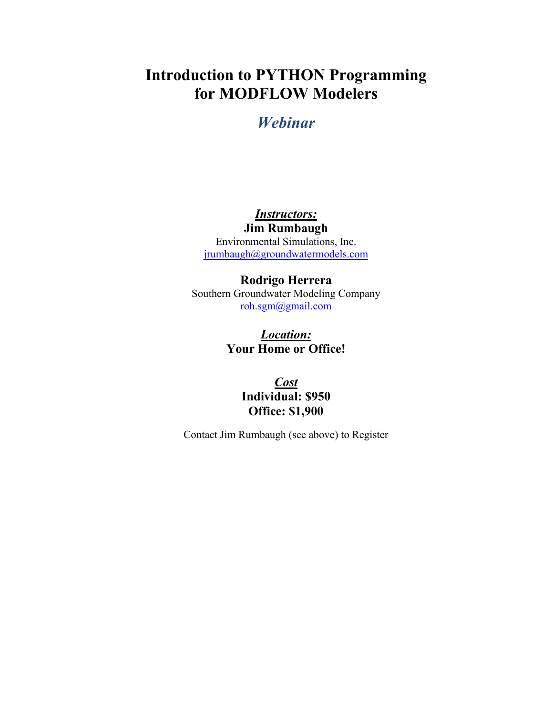# **Introduction to PYTHON Programming for MODFLOW Modelers**

## *Webinar*

## *Instructors:*

**Jim Rumbaugh** Environmental Simulations, Inc. [jrumbaugh@groundwatermodels.com](mailto:jrumbaugh@groundwatermodels.com)

#### **Rodrigo Herrera**

Southern Groundwater Modeling Company [roh.sgm@gmail.com](mailto:roh.sgm@gmail.com)

### *Location:* **Your Home or Office!**

*Cost* **Individual: \$950 Office: \$1,900**

Contact Jim Rumbaugh (see above) to Register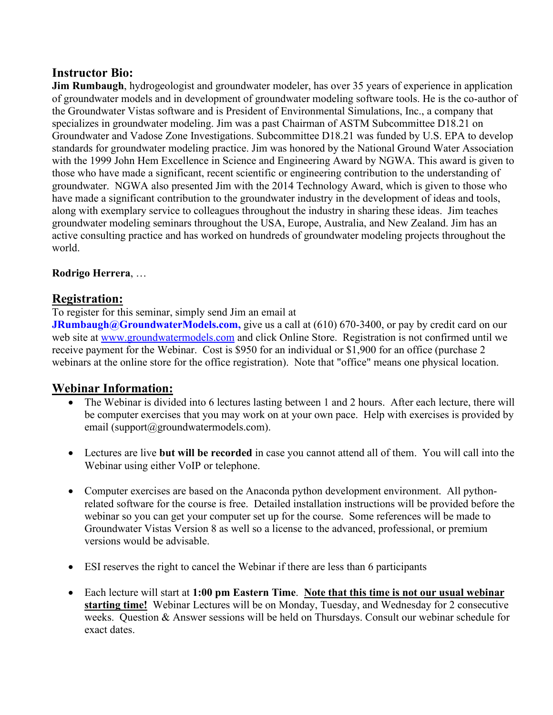#### **Instructor Bio:**

**Jim Rumbaugh**, hydrogeologist and groundwater modeler, has over 35 years of experience in application of groundwater models and in development of groundwater modeling software tools. He is the co-author of the Groundwater Vistas software and is President of Environmental Simulations, Inc., a company that specializes in groundwater modeling. Jim was a past Chairman of ASTM Subcommittee D18.21 on Groundwater and Vadose Zone Investigations. Subcommittee D18.21 was funded by U.S. EPA to develop standards for groundwater modeling practice. Jim was honored by the National Ground Water Association with the 1999 John Hem Excellence in Science and Engineering Award by NGWA. This award is given to those who have made a significant, recent scientific or engineering contribution to the understanding of groundwater. NGWA also presented Jim with the 2014 Technology Award, which is given to those who have made a significant contribution to the groundwater industry in the development of ideas and tools, along with exemplary service to colleagues throughout the industry in sharing these ideas. Jim teaches groundwater modeling seminars throughout the USA, Europe, Australia, and New Zealand. Jim has an active consulting practice and has worked on hundreds of groundwater modeling projects throughout the world.

#### **Rodrigo Herrera**, …

#### **Registration:**

To register for this seminar, simply send Jim an email at

**JRumbaugh@GroundwaterModels.com,** give us a call at (610) 670-3400, or pay by credit card on our web site at [www.groundwatermodels.com](http://www.groundwatermodels.com/) and click Online Store. Registration is not confirmed until we receive payment for the Webinar. Cost is \$950 for an individual or \$1,900 for an office (purchase 2 webinars at the online store for the office registration). Note that "office" means one physical location.

#### **Webinar Information:**

- The Webinar is divided into 6 lectures lasting between 1 and 2 hours. After each lecture, there will be computer exercises that you may work on at your own pace. Help with exercises is provided by email (support@groundwatermodels.com).
- Lectures are live **but will be recorded** in case you cannot attend all of them. You will call into the Webinar using either VoIP or telephone.
- Computer exercises are based on the Anaconda python development environment. All pythonrelated software for the course is free. Detailed installation instructions will be provided before the webinar so you can get your computer set up for the course. Some references will be made to Groundwater Vistas Version 8 as well so a license to the advanced, professional, or premium versions would be advisable.
- ESI reserves the right to cancel the Webinar if there are less than 6 participants
- Each lecture will start at **1:00 pm Eastern Time**. **Note that this time is not our usual webinar starting time!** Webinar Lectures will be on Monday, Tuesday, and Wednesday for 2 consecutive weeks. Question & Answer sessions will be held on Thursdays. Consult our webinar schedule for exact dates.